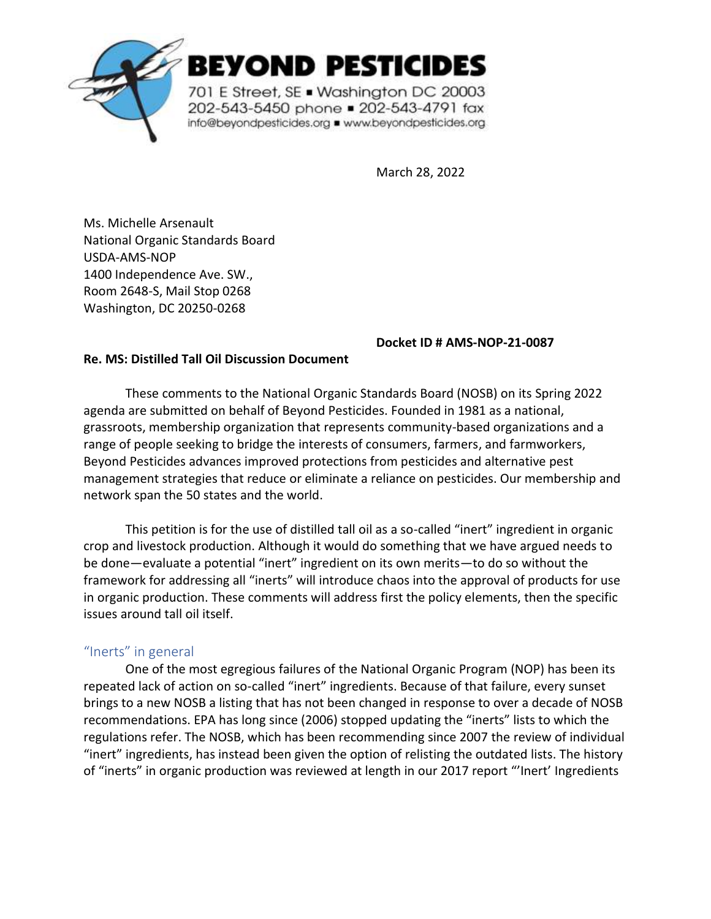

EYOND PESTICIDES

701 E Street, SE . Washington DC 20003 202-543-5450 phone = 202-543-4791 fax info@beyondpesticides.org = www.beyondpesticides.org

March 28, 2022

Ms. Michelle Arsenault National Organic Standards Board USDA-AMS-NOP 1400 Independence Ave. SW., Room 2648-S, Mail Stop 0268 Washington, DC 20250-0268

#### **Docket ID # AMS-NOP-21-0087**

#### **Re. MS: Distilled Tall Oil Discussion Document**

These comments to the National Organic Standards Board (NOSB) on its Spring 2022 agenda are submitted on behalf of Beyond Pesticides. Founded in 1981 as a national, grassroots, membership organization that represents community-based organizations and a range of people seeking to bridge the interests of consumers, farmers, and farmworkers, Beyond Pesticides advances improved protections from pesticides and alternative pest management strategies that reduce or eliminate a reliance on pesticides. Our membership and network span the 50 states and the world.

This petition is for the use of distilled tall oil as a so-called "inert" ingredient in organic crop and livestock production. Although it would do something that we have argued needs to be done—evaluate a potential "inert" ingredient on its own merits—to do so without the framework for addressing all "inerts" will introduce chaos into the approval of products for use in organic production. These comments will address first the policy elements, then the specific issues around tall oil itself.

### "Inerts" in general

One of the most egregious failures of the National Organic Program (NOP) has been its repeated lack of action on so-called "inert" ingredients. Because of that failure, every sunset brings to a new NOSB a listing that has not been changed in response to over a decade of NOSB recommendations. EPA has long since (2006) stopped updating the "inerts" lists to which the regulations refer. The NOSB, which has been recommending since 2007 the review of individual "inert" ingredients, has instead been given the option of relisting the outdated lists. The history of "inerts" in organic production was reviewed at length in our 2017 report "'Inert' Ingredients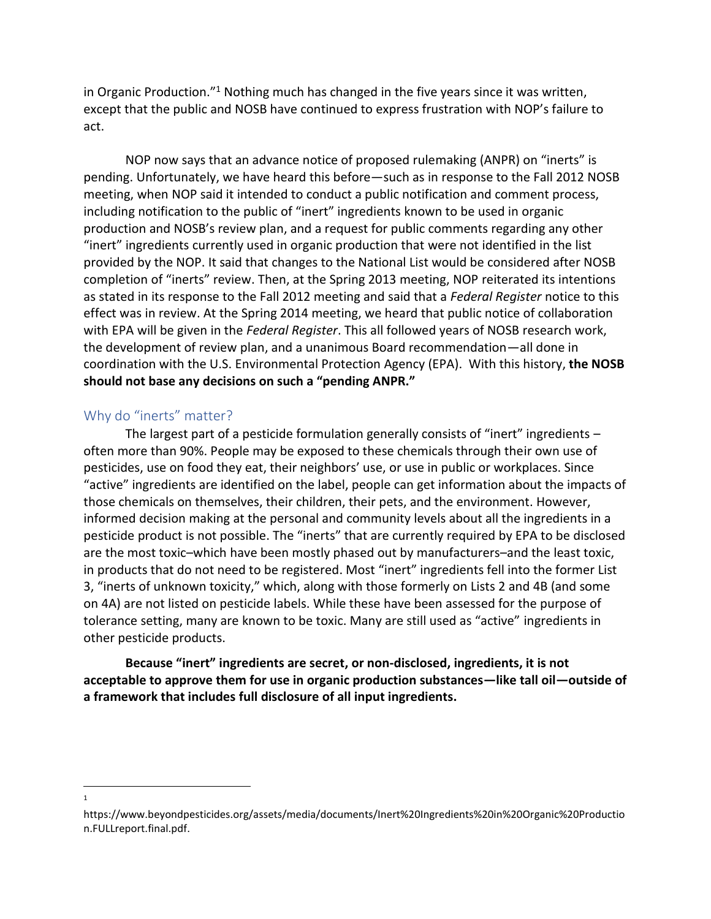in Organic Production."<sup>1</sup> Nothing much has changed in the five years since it was written, except that the public and NOSB have continued to express frustration with NOP's failure to act.

NOP now says that an advance notice of proposed rulemaking (ANPR) on "inerts" is pending. Unfortunately, we have heard this before—such as in response to the Fall 2012 NOSB meeting, when NOP said it intended to conduct a public notification and comment process, including notification to the public of "inert" ingredients known to be used in organic production and NOSB's review plan, and a request for public comments regarding any other "inert" ingredients currently used in organic production that were not identified in the list provided by the NOP. It said that changes to the National List would be considered after NOSB completion of "inerts" review. Then, at the Spring 2013 meeting, NOP reiterated its intentions as stated in its response to the Fall 2012 meeting and said that a *Federal Register* notice to this effect was in review. At the Spring 2014 meeting, we heard that public notice of collaboration with EPA will be given in the *Federal Register*. This all followed years of NOSB research work, the development of review plan, and a unanimous Board recommendation—all done in coordination with the U.S. Environmental Protection Agency (EPA). With this history, **the NOSB should not base any decisions on such a "pending ANPR."**

### Why do "inerts" matter?

The largest part of a pesticide formulation generally consists of "inert" ingredients  $$ often more than 90%. People may be exposed to these chemicals through their own use of pesticides, use on food they eat, their neighbors' use, or use in public or workplaces. Since "active" ingredients are identified on the label, people can get information about the impacts of those chemicals on themselves, their children, their pets, and the environment. However, informed decision making at the personal and community levels about all the ingredients in a pesticide product is not possible. The "inerts" that are currently required by EPA to be disclosed are the most toxic–which have been mostly phased out by manufacturers–and the least toxic, in products that do not need to be registered. Most "inert" ingredients fell into the former List 3, "inerts of unknown toxicity," which, along with those formerly on Lists 2 and 4B (and some on 4A) are not listed on pesticide labels. While these have been assessed for the purpose of tolerance setting, many are known to be toxic. Many are still used as "active" ingredients in other pesticide products.

**Because "inert" ingredients are secret, or non-disclosed, ingredients, it is not acceptable to approve them for use in organic production substances—like tall oil—outside of a framework that includes full disclosure of all input ingredients.**

<sup>1</sup>

https://www.beyondpesticides.org/assets/media/documents/Inert%20Ingredients%20in%20Organic%20Productio n.FULLreport.final.pdf.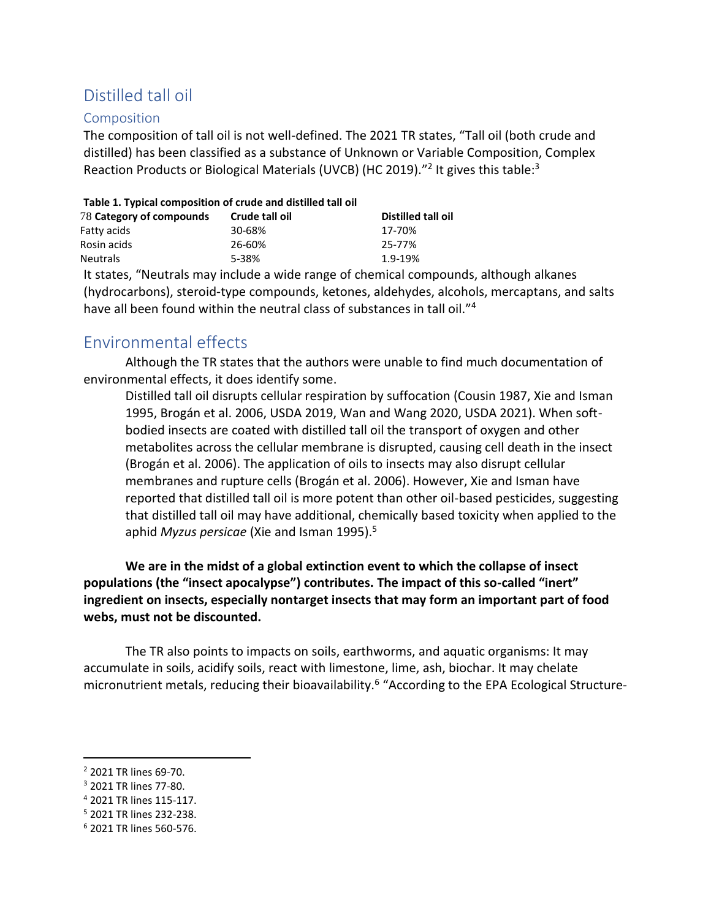# Distilled tall oil

### Composition

The composition of tall oil is not well-defined. The 2021 TR states, "Tall oil (both crude and distilled) has been classified as a substance of Unknown or Variable Composition, Complex Reaction Products or Biological Materials (UVCB) (HC 2019)."<sup>2</sup> It gives this table:<sup>3</sup>

#### **Table 1. Typical composition of crude and distilled tall oil**

| 78 Category of compounds | Crude tall oil | Distilled tall oil |
|--------------------------|----------------|--------------------|
| Fatty acids              | 30-68%         | 17-70%             |
| Rosin acids              | 26-60%         | 25-77%             |
| <b>Neutrals</b>          | 5-38%          | 1.9-19%            |
|                          |                |                    |

It states, "Neutrals may include a wide range of chemical compounds, although alkanes (hydrocarbons), steroid-type compounds, ketones, aldehydes, alcohols, mercaptans, and salts have all been found within the neutral class of substances in tall oil."<sup>4</sup>

## Environmental effects

Although the TR states that the authors were unable to find much documentation of environmental effects, it does identify some.

Distilled tall oil disrupts cellular respiration by suffocation (Cousin 1987, Xie and Isman 1995, Brogán et al. 2006, USDA 2019, Wan and Wang 2020, USDA 2021). When softbodied insects are coated with distilled tall oil the transport of oxygen and other metabolites across the cellular membrane is disrupted, causing cell death in the insect (Brogán et al. 2006). The application of oils to insects may also disrupt cellular membranes and rupture cells (Brogán et al. 2006). However, Xie and Isman have reported that distilled tall oil is more potent than other oil-based pesticides, suggesting that distilled tall oil may have additional, chemically based toxicity when applied to the aphid *Myzus persicae* (Xie and Isman 1995).<sup>5</sup>

**We are in the midst of a global extinction event to which the collapse of insect populations (the "insect apocalypse") contributes. The impact of this so-called "inert" ingredient on insects, especially nontarget insects that may form an important part of food webs, must not be discounted.**

The TR also points to impacts on soils, earthworms, and aquatic organisms: It may accumulate in soils, acidify soils, react with limestone, lime, ash, biochar. It may chelate micronutrient metals, reducing their bioavailability.<sup>6</sup> "According to the EPA Ecological Structure-

<sup>2</sup> 2021 TR lines 69-70.

<sup>3</sup> 2021 TR lines 77-80.

<sup>4</sup> 2021 TR lines 115-117.

<sup>5</sup> 2021 TR lines 232-238.

<sup>6</sup> 2021 TR lines 560-576.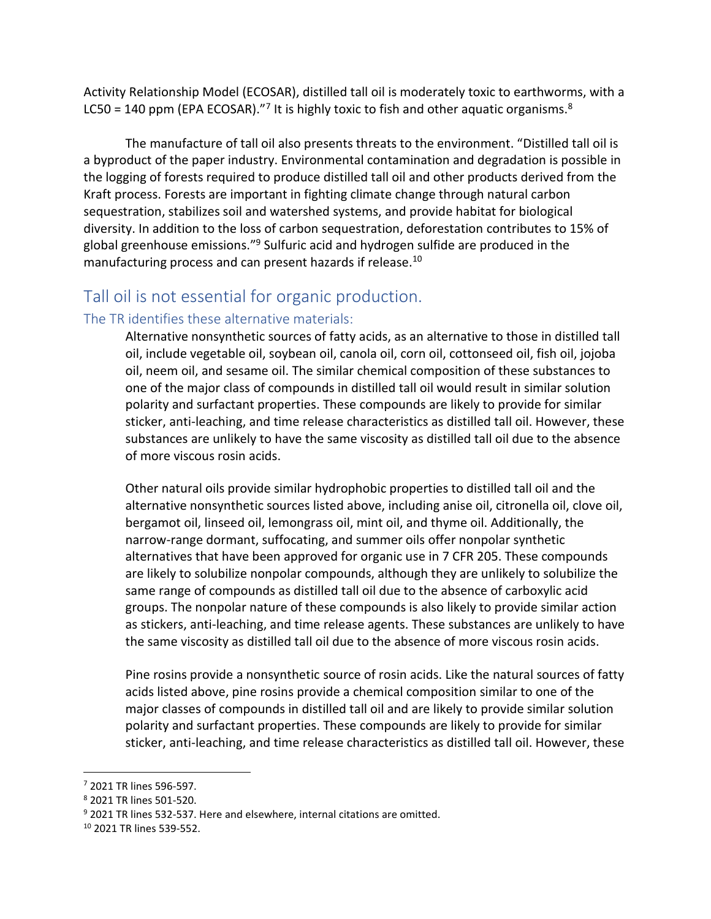Activity Relationship Model (ECOSAR), distilled tall oil is moderately toxic to earthworms, with a LC50 = 140 ppm (EPA ECOSAR)."<sup>7</sup> It is highly toxic to fish and other aquatic organisms.<sup>8</sup>

The manufacture of tall oil also presents threats to the environment. "Distilled tall oil is a byproduct of the paper industry. Environmental contamination and degradation is possible in the logging of forests required to produce distilled tall oil and other products derived from the Kraft process. Forests are important in fighting climate change through natural carbon sequestration, stabilizes soil and watershed systems, and provide habitat for biological diversity. In addition to the loss of carbon sequestration, deforestation contributes to 15% of global greenhouse emissions."<sup>9</sup> Sulfuric acid and hydrogen sulfide are produced in the manufacturing process and can present hazards if release.<sup>10</sup>

### Tall oil is not essential for organic production.

### The TR identifies these alternative materials:

Alternative nonsynthetic sources of fatty acids, as an alternative to those in distilled tall oil, include vegetable oil, soybean oil, canola oil, corn oil, cottonseed oil, fish oil, jojoba oil, neem oil, and sesame oil. The similar chemical composition of these substances to one of the major class of compounds in distilled tall oil would result in similar solution polarity and surfactant properties. These compounds are likely to provide for similar sticker, anti-leaching, and time release characteristics as distilled tall oil. However, these substances are unlikely to have the same viscosity as distilled tall oil due to the absence of more viscous rosin acids.

Other natural oils provide similar hydrophobic properties to distilled tall oil and the alternative nonsynthetic sources listed above, including anise oil, citronella oil, clove oil, bergamot oil, linseed oil, lemongrass oil, mint oil, and thyme oil. Additionally, the narrow-range dormant, suffocating, and summer oils offer nonpolar synthetic alternatives that have been approved for organic use in 7 CFR 205. These compounds are likely to solubilize nonpolar compounds, although they are unlikely to solubilize the same range of compounds as distilled tall oil due to the absence of carboxylic acid groups. The nonpolar nature of these compounds is also likely to provide similar action as stickers, anti-leaching, and time release agents. These substances are unlikely to have the same viscosity as distilled tall oil due to the absence of more viscous rosin acids.

Pine rosins provide a nonsynthetic source of rosin acids. Like the natural sources of fatty acids listed above, pine rosins provide a chemical composition similar to one of the major classes of compounds in distilled tall oil and are likely to provide similar solution polarity and surfactant properties. These compounds are likely to provide for similar sticker, anti-leaching, and time release characteristics as distilled tall oil. However, these

<sup>7</sup> 2021 TR lines 596-597.

<sup>8</sup> 2021 TR lines 501-520.

 $9$  2021 TR lines 532-537. Here and elsewhere, internal citations are omitted.

<sup>10</sup> 2021 TR lines 539-552.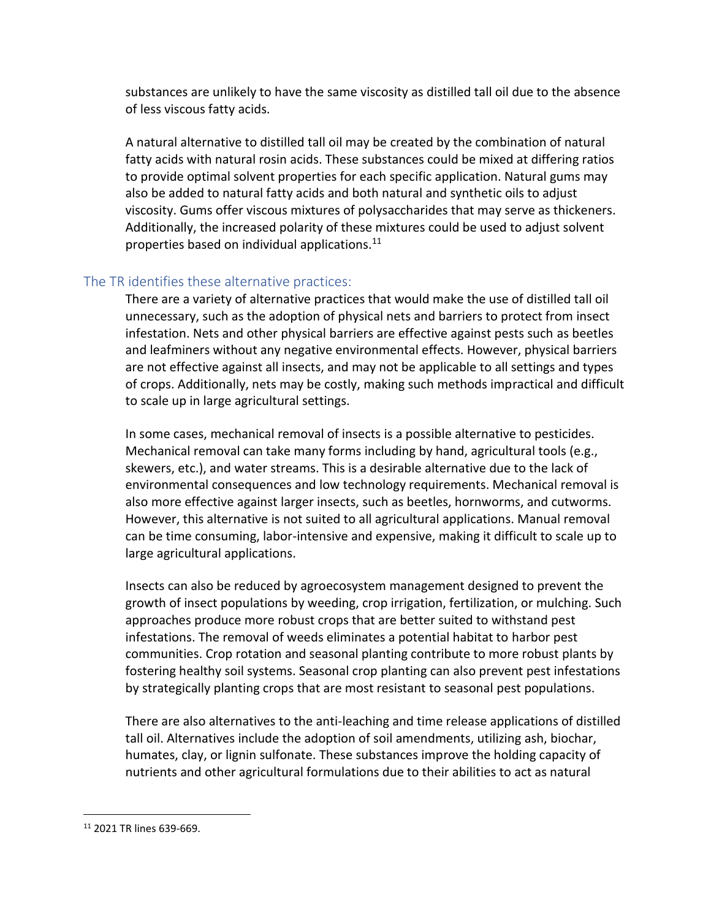substances are unlikely to have the same viscosity as distilled tall oil due to the absence of less viscous fatty acids.

A natural alternative to distilled tall oil may be created by the combination of natural fatty acids with natural rosin acids. These substances could be mixed at differing ratios to provide optimal solvent properties for each specific application. Natural gums may also be added to natural fatty acids and both natural and synthetic oils to adjust viscosity. Gums offer viscous mixtures of polysaccharides that may serve as thickeners. Additionally, the increased polarity of these mixtures could be used to adjust solvent properties based on individual applications. $^{11}$ 

### The TR identifies these alternative practices:

There are a variety of alternative practices that would make the use of distilled tall oil unnecessary, such as the adoption of physical nets and barriers to protect from insect infestation. Nets and other physical barriers are effective against pests such as beetles and leafminers without any negative environmental effects. However, physical barriers are not effective against all insects, and may not be applicable to all settings and types of crops. Additionally, nets may be costly, making such methods impractical and difficult to scale up in large agricultural settings.

In some cases, mechanical removal of insects is a possible alternative to pesticides. Mechanical removal can take many forms including by hand, agricultural tools (e.g., skewers, etc.), and water streams. This is a desirable alternative due to the lack of environmental consequences and low technology requirements. Mechanical removal is also more effective against larger insects, such as beetles, hornworms, and cutworms. However, this alternative is not suited to all agricultural applications. Manual removal can be time consuming, labor-intensive and expensive, making it difficult to scale up to large agricultural applications.

Insects can also be reduced by agroecosystem management designed to prevent the growth of insect populations by weeding, crop irrigation, fertilization, or mulching. Such approaches produce more robust crops that are better suited to withstand pest infestations. The removal of weeds eliminates a potential habitat to harbor pest communities. Crop rotation and seasonal planting contribute to more robust plants by fostering healthy soil systems. Seasonal crop planting can also prevent pest infestations by strategically planting crops that are most resistant to seasonal pest populations.

There are also alternatives to the anti-leaching and time release applications of distilled tall oil. Alternatives include the adoption of soil amendments, utilizing ash, biochar, humates, clay, or lignin sulfonate. These substances improve the holding capacity of nutrients and other agricultural formulations due to their abilities to act as natural

<sup>11</sup> 2021 TR lines 639-669.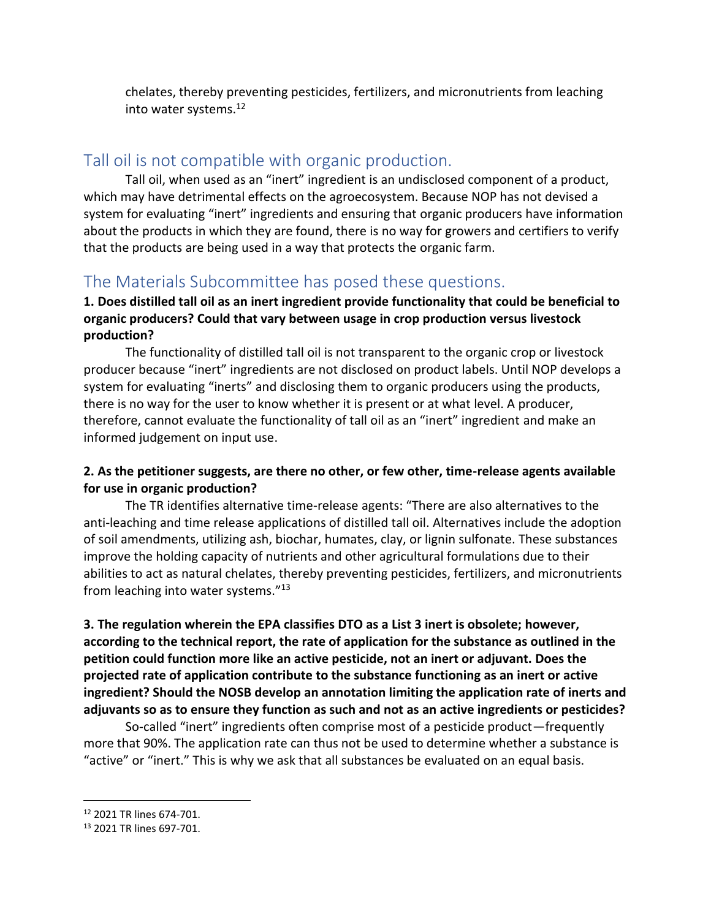chelates, thereby preventing pesticides, fertilizers, and micronutrients from leaching into water systems.<sup>12</sup>

### Tall oil is not compatible with organic production.

Tall oil, when used as an "inert" ingredient is an undisclosed component of a product, which may have detrimental effects on the agroecosystem. Because NOP has not devised a system for evaluating "inert" ingredients and ensuring that organic producers have information about the products in which they are found, there is no way for growers and certifiers to verify that the products are being used in a way that protects the organic farm.

## The Materials Subcommittee has posed these questions.

### **1. Does distilled tall oil as an inert ingredient provide functionality that could be beneficial to organic producers? Could that vary between usage in crop production versus livestock production?**

The functionality of distilled tall oil is not transparent to the organic crop or livestock producer because "inert" ingredients are not disclosed on product labels. Until NOP develops a system for evaluating "inerts" and disclosing them to organic producers using the products, there is no way for the user to know whether it is present or at what level. A producer, therefore, cannot evaluate the functionality of tall oil as an "inert" ingredient and make an informed judgement on input use.

### **2. As the petitioner suggests, are there no other, or few other, time-release agents available for use in organic production?**

The TR identifies alternative time-release agents: "There are also alternatives to the anti-leaching and time release applications of distilled tall oil. Alternatives include the adoption of soil amendments, utilizing ash, biochar, humates, clay, or lignin sulfonate. These substances improve the holding capacity of nutrients and other agricultural formulations due to their abilities to act as natural chelates, thereby preventing pesticides, fertilizers, and micronutrients from leaching into water systems."<sup>13</sup>

**3. The regulation wherein the EPA classifies DTO as a List 3 inert is obsolete; however, according to the technical report, the rate of application for the substance as outlined in the petition could function more like an active pesticide, not an inert or adjuvant. Does the projected rate of application contribute to the substance functioning as an inert or active ingredient? Should the NOSB develop an annotation limiting the application rate of inerts and adjuvants so as to ensure they function as such and not as an active ingredients or pesticides?** 

So-called "inert" ingredients often comprise most of a pesticide product—frequently more that 90%. The application rate can thus not be used to determine whether a substance is "active" or "inert." This is why we ask that all substances be evaluated on an equal basis.

<sup>12</sup> 2021 TR lines 674-701.

<sup>13</sup> 2021 TR lines 697-701.